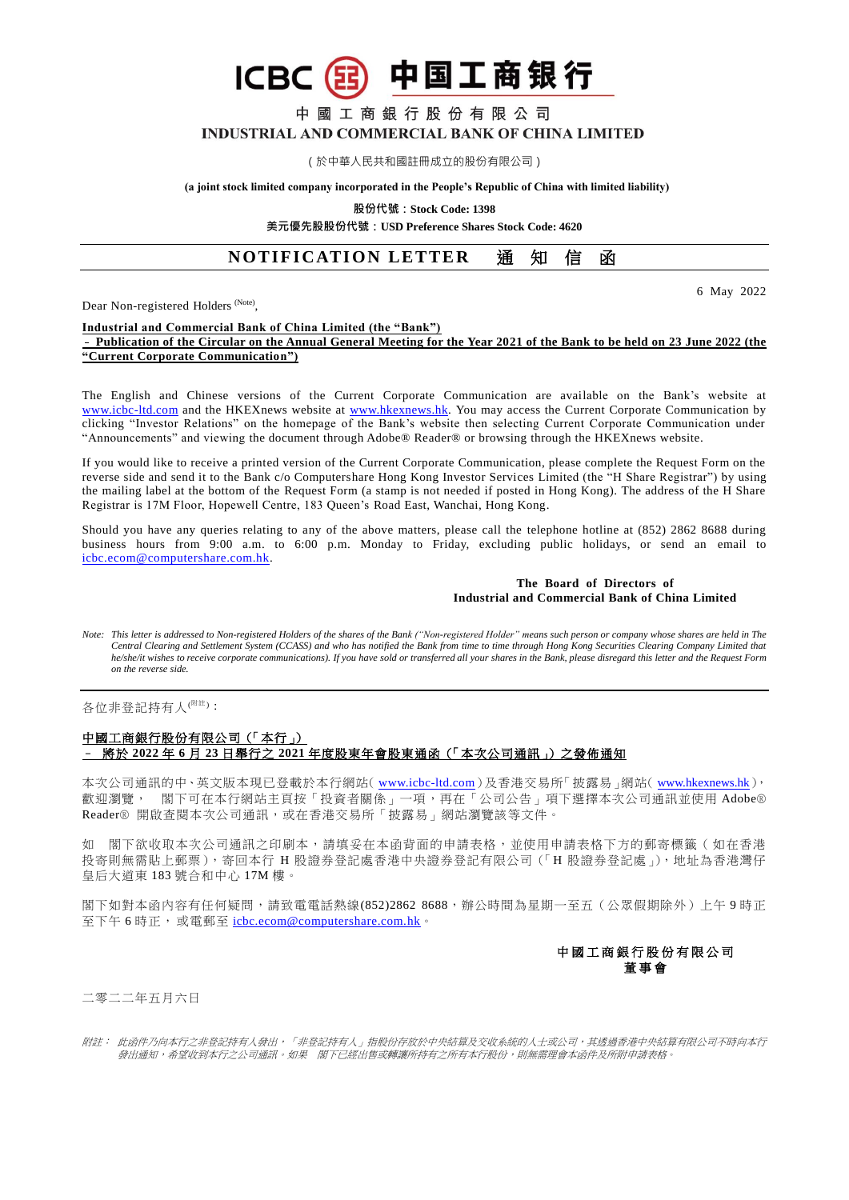中國工商銀行股份有限公司

# INDUSTRIAL AND COMMERCIAL BANK OF CHINA LIMITED

中国工商银行

(於中華人民共和國註冊成立的股份有限公司)

**(a joint stock limited company incorporated in the People's Republic of China with limited liability)**

**股份代號:Stock Code: 1398**

**美元優先股股份代號:USD Preference Shares Stock Code: 4620**

# **NOTIFICATION LETTER 通知信函**

Dear Non-registered Holders<sup> (Note)</sup>,

**ICBC** 

6 May 2022

#### **Industrial and Commercial Bank of China Limited (the "Bank")** – **Publication of the Circular on the Annual General Meeting for the Year 2021 of the Bank to be held on 23 June 2022 (the "Current Corporate Communication")**

The English and Chinese versions of the Current Corporate Communication are available on the Bank's website at [www.icbc-ltd.com](http://www.icbc-ltd.com/ICBCLtd/en/default.htm) and the HKEXnews website at [www.hkexnews.hk.](http://www.hkexnews.hk/) You may access the Current Corporate Communication by clicking "Investor Relations" on the homepage of the Bank's website then selecting Current Corporate Communication under "Announcements" and viewing the document through Adobe® Reader® or browsing through the HKEXnews website.

If you would like to receive a printed version of the Current Corporate Communication, please complete the Request Form on the reverse side and send it to the Bank c/o Computershare Hong Kong Investor Services Limited (the "H Share Registrar") by using the mailing label at the bottom of the Request Form (a stamp is not needed if posted in Hong Kong). The address of the H Share Registrar is 17M Floor, Hopewell Centre, 183 Queen's Road East, Wanchai, Hong Kong.

Should you have any queries relating to any of the above matters, please call the telephone hotline at (852) 2862 8688 during business hours from 9:00 a.m. to 6:00 p.m. Monday to Friday, excluding public holidays, or send an email to [icbc.ecom@computershare.com.hk.](mailto:icbc.ecom@computershare.com.hk)

#### **The Board of Directors of Industrial and Commercial Bank of China Limited**

*Note: This letter is addressed to Non-registered Holders of the shares of the Bank ("Non-registered Holder" means such person or company whose shares are held in The Central Clearing and Settlement System (CCASS) and who has notified the Bank from time to time through Hong Kong Securities Clearing Company Limited that he/she/it wishes to receive corporate communications). If you have sold or transferred all your shares in the Bank, please disregard this letter and the Request Form on the reverse side.*

各位非登記持有人<sup>(附註)</sup>:

### 中國工商銀行股份有限公司(「本行」) – 將於 **2022** 年 **6** 月 **23** 日舉行之 **2021** 年度股東年會股東通函(「本次公司通訊」)之發佈通知

本次公司通訊的中、英文版本現已登載於本行網站( [www.icbc-ltd.com](http://www.icbc-ltd.com/icbcltd/default.htm))及香港交易所「披露易」網站( [www.hkexnews.hk](http://www.hkexnews.hk/)), 歡迎瀏覽, 閣下可在本行網站主頁按「投資者關係」一項,再在「公司公告」項下選擇本次公司通訊並使用 Adobe® Reader® 開啟查閱本次公司通訊,或在香港交易所「披露易」網站瀏覽該等文件。

如 閣下欲收取本次公司通訊之印刷本,請填妥在本函背面的申請表格,並使用申請表格下方的郵寄標籤 ( 如在香港 投寄則無需貼上郵票),寄回本行 H 股證券登記處香港中央證券登記有限公司(「H 股證券登記處」),地址為香港灣仔 皇后大道東 183 號合和中心 17M 樓。

閣下如對本函內容有任何疑問,請致電電話熱線(852)2862 8688,辦公時間為星期一至五(公眾假期除外)上午9時正 至下午6時正,或電郵至 [icbc.ecom@computershare.com.hk](mailto:icbc.ecom@computershare.com.hk)。



二零二二年五月六日

附註: 此函件乃向本行之非登記持有人發出,「非登記持有人」指股份存放於中央結算及交收系統的人士或公司,其透過香港中央結算有限公司不時向本行 發出通知,希望收到本行之公司通訊。如果 閣下已經出售或轉讓所持有之所有本行股份,則無需理會本函件及所附申請表格。